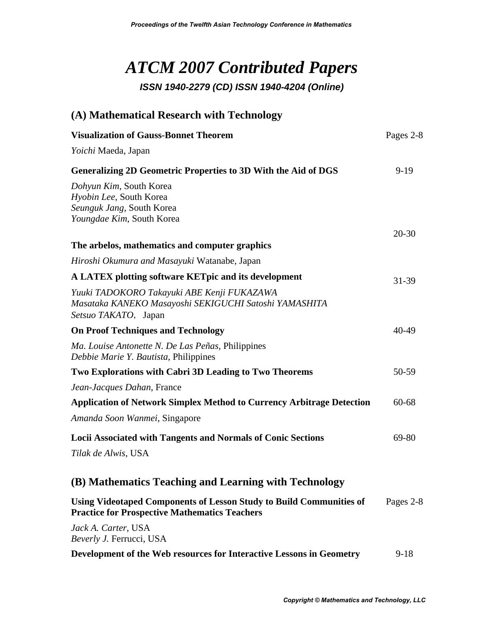## *ATCM 2007 Contributed Papers ISSN 1940-2279 (CD) ISSN 1940-4204 (Online)*

| (A) Mathematical Research with Technology                                                                                   |           |
|-----------------------------------------------------------------------------------------------------------------------------|-----------|
| <b>Visualization of Gauss-Bonnet Theorem</b>                                                                                | Pages 2-8 |
| Yoichi Maeda, Japan                                                                                                         |           |
| <b>Generalizing 2D Geometric Properties to 3D With the Aid of DGS</b>                                                       | $9-19$    |
| Dohyun Kim, South Korea<br>Hyobin Lee, South Korea<br>Seunguk Jang, South Korea<br>Youngdae Kim, South Korea                |           |
| The arbelos, mathematics and computer graphics                                                                              | $20 - 30$ |
| Hiroshi Okumura and Masayuki Watanabe, Japan                                                                                |           |
| A LATEX plotting software KET pic and its development                                                                       |           |
| Yuuki TADOKORO Takayuki ABE Kenji FUKAZAWA<br>Masataka KANEKO Masayoshi SEKIGUCHI Satoshi YAMASHITA<br>Setsuo TAKATO, Japan | 31-39     |
| <b>On Proof Techniques and Technology</b>                                                                                   | 40-49     |
| Ma. Louise Antonette N. De Las Peñas, Philippines<br>Debbie Marie Y. Bautista, Philippines                                  |           |
| Two Explorations with Cabri 3D Leading to Two Theorems                                                                      | 50-59     |
| Jean-Jacques Dahan, France                                                                                                  |           |
| <b>Application of Network Simplex Method to Currency Arbitrage Detection</b>                                                | $60 - 68$ |
| Amanda Soon Wanmei, Singapore                                                                                               |           |
| Locii Associated with Tangents and Normals of Conic Sections                                                                | 69-80     |
| Tilak de Alwis, USA                                                                                                         |           |
| (B) Mathematics Teaching and Learning with Technology                                                                       |           |
| Using Videotaped Components of Lesson Study to Build Communities of<br><b>Practice for Prospective Mathematics Teachers</b> | Pages 2-8 |
| Jack A. Carter, USA<br>Beverly J. Ferrucci, USA                                                                             |           |
| Development of the Web resources for Interactive Lessons in Geometry                                                        | $9-18$    |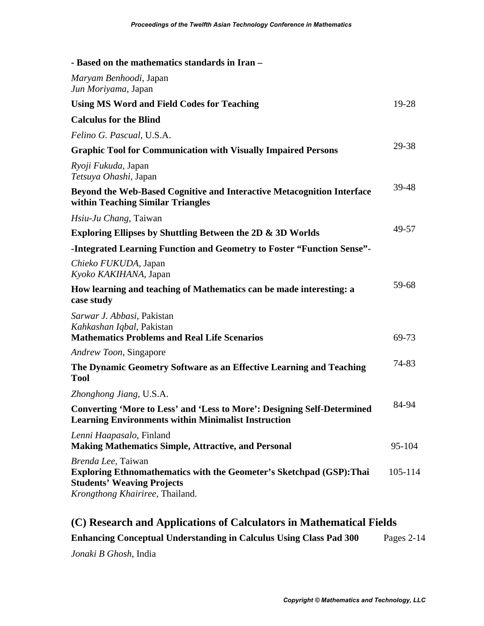| - Based on the mathematics standards in Iran -                                                                                                                            |         |
|---------------------------------------------------------------------------------------------------------------------------------------------------------------------------|---------|
| Maryam Benhoodi, Japan<br>Jun Moriyama, Japan                                                                                                                             |         |
| <b>Using MS Word and Field Codes for Teaching</b>                                                                                                                         | 19-28   |
| <b>Calculus for the Blind</b>                                                                                                                                             |         |
| Felino G. Pascual, U.S.A.                                                                                                                                                 |         |
| <b>Graphic Tool for Communication with Visually Impaired Persons</b>                                                                                                      | 29-38   |
| <i>Ryoji Fukuda</i> , Japan<br>Tetsuya Ohashi, Japan                                                                                                                      |         |
| Beyond the Web-Based Cognitive and Interactive Metacognition Interface<br>within Teaching Similar Triangles                                                               | 39-48   |
| Hsiu-Ju Chang, Taiwan                                                                                                                                                     |         |
| <b>Exploring Ellipses by Shuttling Between the 2D &amp; 3D Worlds</b>                                                                                                     | 49-57   |
| -Integrated Learning Function and Geometry to Foster "Function Sense"-                                                                                                    |         |
| Chieko FUKUDA, Japan<br>Kyoko KAKIHANA, Japan                                                                                                                             |         |
| How learning and teaching of Mathematics can be made interesting: a<br>case study                                                                                         | 59-68   |
| Sarwar J. Abbasi, Pakistan<br>Kahkashan Iqbal, Pakistan<br><b>Mathematics Problems and Real Life Scenarios</b>                                                            | 69-73   |
| Andrew Toon, Singapore                                                                                                                                                    |         |
| The Dynamic Geometry Software as an Effective Learning and Teaching<br><b>Tool</b>                                                                                        | 74-83   |
| Zhonghong Jiang, U.S.A.                                                                                                                                                   |         |
| <b>Converting 'More to Less' and 'Less to More': Designing Self-Determined</b><br><b>Learning Environments within Minimalist Instruction</b>                              | 84-94   |
| Lenni Haapasalo, Finland<br><b>Making Mathematics Simple, Attractive, and Personal</b>                                                                                    | 95-104  |
| Brenda Lee, Taiwan<br><b>Exploring Ethnomathematics with the Geometer's Sketchpad (GSP): Thai</b><br><b>Students' Weaving Projects</b><br>Krongthong Khairiree, Thailand. | 105-114 |

## **(C) Research and Applications of Calculators in Mathematical Fields**

**Enhancing Conceptual Understanding in Calculus Using Class Pad 300**  Pages 2-14

*Jonaki B Ghosh*, India